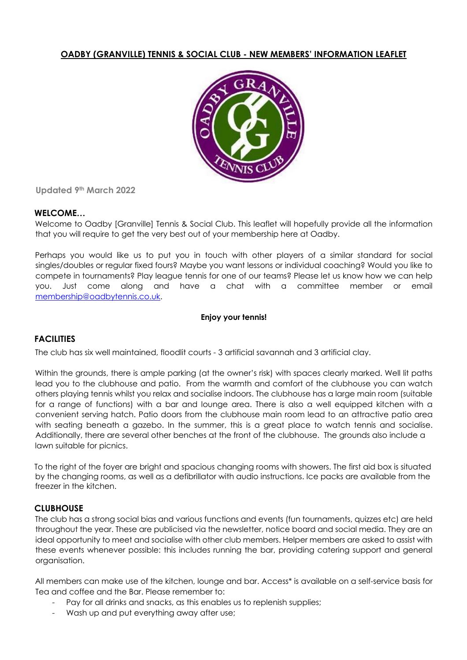# **OADBY (GRANVILLE) TENNIS & SOCIAL CLUB - NEW MEMBERS' INFORMATION LEAFLET**



**Updated 9th March 2022**

## **WELCOME…**

Welcome to Oadby [Granville] Tennis & Social Club. This leaflet will hopefully provide all the information that you will require to get the very best out of your membership here at Oadby.

Perhaps you would like us to put you in touch with other players of a similar standard for social singles/doubles or regular fixed fours? Maybe you want lessons or individual coaching? Would you like to compete in tournaments? Play league tennis for one of our teams? Please let us know how we can help you. Just come along and have a chat with a committee member or email membership@oadbytennis.co.uk.

### **Enjoy your tennis!**

# **FACILITIES**

The club has six well maintained, floodlit courts - 3 artificial savannah and 3 artificial clay.

Within the grounds, there is ample parking (at the owner's risk) with spaces clearly marked. Well lit paths lead you to the clubhouse and patio. From the warmth and comfort of the clubhouse you can watch others playing tennis whilst you relax and socialise indoors. The clubhouse has a large main room (suitable for a range of functions) with a bar and lounge area. There is also a well equipped kitchen with a convenient serving hatch. Patio doors from the clubhouse main room lead to an attractive patio area with seating beneath a gazebo. In the summer, this is a great place to watch tennis and socialise. Additionally, there are several other benches at the front of the clubhouse. The grounds also include a lawn suitable for picnics.

To the right of the foyer are bright and spacious changing rooms with showers. The first aid box is situated by the changing rooms, as well as a defibrillator with audio instructions. Ice packs are available from the freezer in the kitchen.

## **CLUBHOUSE**

The club has a strong social bias and various functions and events (fun tournaments, quizzes etc) are held throughout the year. These are publicised via the newsletter, notice board and social media. They are an ideal opportunity to meet and socialise with other club members. Helper members are asked to assist with these events whenever possible: this includes running the bar, providing catering support and general organisation.

All members can make use of the kitchen, lounge and bar. Access\* is available on a self-service basis for Tea and coffee and the Bar. Please remember to:

- Pay for all drinks and snacks, as this enables us to replenish supplies;
- Wash up and put everything away after use;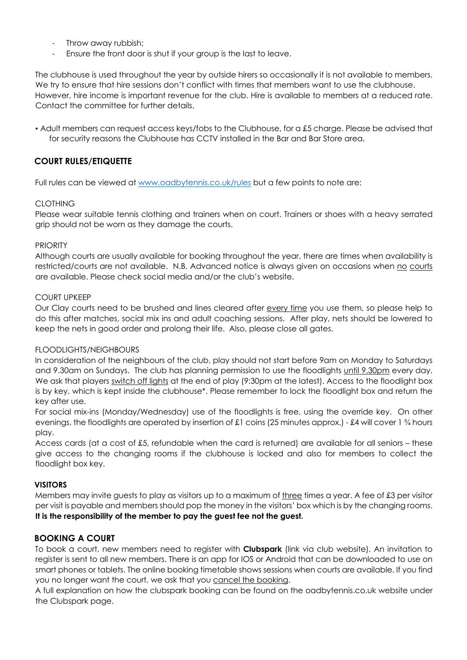- Throw away rubbish;
- Ensure the front door is shut if your group is the last to leave.

The clubhouse is used throughout the year by outside hirers so occasionally it is not available to members. We try to ensure that hire sessions don't conflict with times that members want to use the clubhouse. However, hire income is important revenue for the club. Hire is available to members at a reduced rate. Contact the committee for further details.

• Adult members can request access keys/fobs to the Clubhouse, for a £5 charge. Please be advised that for security reasons the Clubhouse has CCTV installed in the Bar and Bar Store area.

# **COURT RULES/ETIQUETTE**

Full rules can be viewed at www.oadbytennis.co.uk/rules but a few points to note are:

## CLOTHING

Please wear suitable tennis clothing and trainers when on court. Trainers or shoes with a heavy serrated grip should not be worn as they damage the courts.

#### **PRIORITY**

Although courts are usually available for booking throughout the year, there are times when availability is restricted/courts are not available. N.B. Advanced notice is always given on occasions when no courts are available. Please check social media and/or the club's website.

### COURT UPKEEP

Our Clay courts need to be brushed and lines cleared after every time you use them, so please help to do this after matches, social mix ins and adult coaching sessions. After play, nets should be lowered to keep the nets in good order and prolong their life. Also, please close all gates.

#### FLOODLIGHTS/NEIGHBOURS

In consideration of the neighbours of the club, play should not start before 9am on Monday to Saturdays and 9.30am on Sundays. The club has planning permission to use the floodlights until 9.30pm every day. We ask that players switch off lights at the end of play (9:30pm at the latest). Access to the floodlight box is by key, which is kept inside the clubhouse\*. Please remember to lock the floodlight box and return the key after use.

For social mix-ins (Monday/Wednesday) use of the floodlights is free, using the override key. On other evenings, the floodlights are operated by insertion of £1 coins (25 minutes approx.) - £4 will cover 1 ¾ hours play.

Access cards (at a cost of £5, refundable when the card is returned) are available for all seniors – these give access to the changing rooms if the clubhouse is locked and also for members to collect the floodlight box key.

#### **VISITORS**

Members may invite guests to play as visitors up to a maximum of three times a year. A fee of £3 per visitor per visit is payable and members should pop the money in the visitors' box which is by the changing rooms. **It is the responsibility of the member to pay the guest fee not the guest.**

## **BOOKING A COURT**

To book a court, new members need to register with **Clubspark** (link via club website). An invitation to register is sent to all new members. There is an app for IOS or Android that can be downloaded to use on smart phones or tablets. The online booking timetable shows sessions when courts are available. If you find you no longer want the court, we ask that you cancel the booking.

A full explanation on how the clubspark booking can be found on the oadbytennis.co.uk website under the Clubspark page.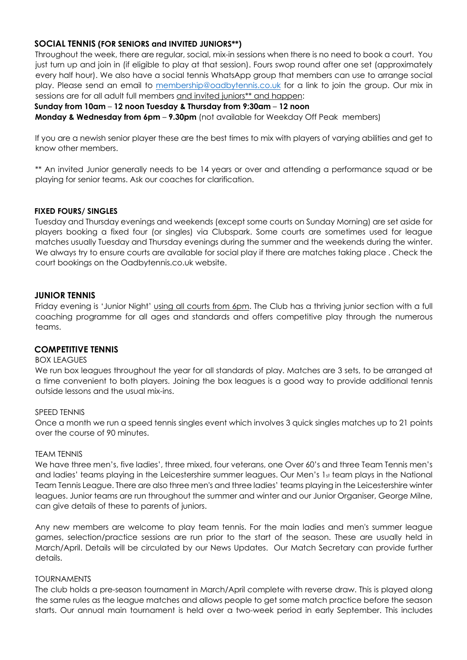## **SOCIAL TENNIS (FOR SENIORS and INVITED JUNIORS\*\*)**

Throughout the week, there are regular, social, mix-in sessions when there is no need to book a court. You just turn up and join in (if eligible to play at that session). Fours swop round after one set (approximately every half hour). We also have a social tennis WhatsApp group that members can use to arrange social play. Please send an email to membership@oadbytennis.co.uk for a link to join the group. Our mix in sessions are for all adult full members and invited juniors\*\* and happen:

### **Sunday from 10am** – **12 noon Tuesday & Thursday from 9:30am** – **12 noon**

**Monday & Wednesday from 6pm – 9.30pm** (not available for Weekday Off Peak members)

If you are a newish senior player these are the best times to mix with players of varying abilities and get to know other members.

\*\* An invited Junior generally needs to be 14 years or over and attending a performance squad or be playing for senior teams. Ask our coaches for clarification.

### **FIXED FOURS/ SINGLES**

Tuesday and Thursday evenings and weekends (except some courts on Sunday Morning) are set aside for players booking a fixed four (or singles) via Clubspark. Some courts are sometimes used for league matches usually Tuesday and Thursday evenings during the summer and the weekends during the winter. We always try to ensure courts are available for social play if there are matches taking place . Check the court bookings on the Oadbytennis.co.uk website.

## **JUNIOR TENNIS**

Friday evening is 'Junior Night' using all courts from 6pm. The Club has a thriving junior section with a full coaching programme for all ages and standards and offers competitive play through the numerous teams.

#### **COMPETITIVE TENNIS**

#### **BOX LEAGUES**

We run box leagues throughout the year for all standards of play. Matches are 3 sets, to be arranged at a time convenient to both players. Joining the box leagues is a good way to provide additional tennis outside lessons and the usual mix-ins.

#### SPEED TENNIS

Once a month we run a speed tennis singles event which involves 3 quick singles matches up to 21 points over the course of 90 minutes.

#### TEAM TENNIS

We have three men's, five ladies', three mixed, four veterans, one Over 60's and three Team Tennis men's and ladies' teams playing in the Leicestershire summer leagues. Our Men's 1st team plays in the National Team Tennis League. There are also three men's and three ladies' teams playing in the Leicestershire winter leagues. Junior teams are run throughout the summer and winter and our Junior Organiser, George Milne, can give details of these to parents of juniors.

Any new members are welcome to play team tennis. For the main ladies and men's summer league games, selection/practice sessions are run prior to the start of the season. These are usually held in March/April. Details will be circulated by our News Updates. Our Match Secretary can provide further details.

#### TOURNAMENTS

The club holds a pre-season tournament in March/April complete with reverse draw. This is played along the same rules as the league matches and allows people to get some match practice before the season starts. Our annual main tournament is held over a two-week period in early September. This includes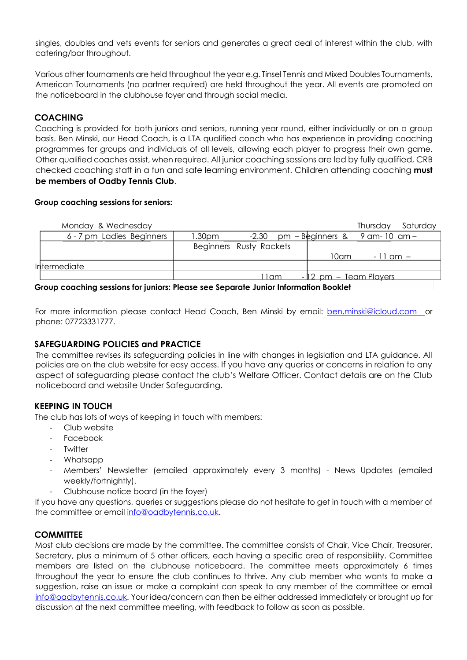singles, doubles and vets events for seniors and generates a great deal of interest within the club, with catering/bar throughout.

Various other tournaments are held throughout the year e.g. Tinsel Tennis and Mixed Doubles Tournaments, American Tournaments (no partner required) are held throughout the year. All events are promoted on the noticeboard in the clubhouse foyer and through social media.

# **COACHING**

Coaching is provided for both juniors and seniors, running year round, either individually or on a group basis. Ben Minski, our Head Coach, is a LTA qualified coach who has experience in providing coaching programmes for groups and individuals of all levels, allowing each player to progress their own game. Other qualified coaches assist, when required. All junior coaching sessions are led by fully qualified, CRB checked coaching staff in a fun and safe learning environment. Children attending coaching **must be members of Oadby Tennis Club**.

### **Group coaching sessions for seniors:**

| Monday & Wednesday        |        |                         |  |  |                                             |              | Thursday Saturday |  |
|---------------------------|--------|-------------------------|--|--|---------------------------------------------|--------------|-------------------|--|
| 6 - 7 pm Ladies Beginners | 1.30pm |                         |  |  | $-2.30$ pm $-$ Beginners & 9 am - 10 am $-$ |              |                   |  |
|                           |        | Beginners Rusty Rackets |  |  |                                             |              |                   |  |
|                           |        |                         |  |  | 10am.                                       | $-11$ am $-$ |                   |  |
| <i>Intermediate</i>       |        |                         |  |  |                                             |              |                   |  |
|                           |        | 11am                    |  |  | <u>- 12 pm – Team Players </u>              |              |                   |  |
|                           |        |                         |  |  |                                             |              |                   |  |

**Group coaching sessions for juniors: Please see Separate Junior Information Booklet**

For more information please contact Head Coach, Ben Minski by email: **ben.minski@icloud.com** or phone: 07723331777.

## **SAFEGUARDING POLICIES and PRACTICE**

The committee revises its safeguarding policies in line with changes in legislation and LTA guidance. All policies are on the club website for easy access. If you have any queries or concerns in relation to any aspect of safeguarding please contact the club's Welfare Officer. Contact details are on the Club noticeboard and website Under Safeguarding.

# **KEEPING IN TOUCH**

The club has lots of ways of keeping in touch with members:

- Club website
- Facebook
- **Twitter**
- Whatsapp
- Members' Newsletter (emailed approximately every 3 months) News Updates (emailed weekly/fortnightly).
- Clubhouse notice board (in the foyer)

If you have any questions, queries or suggestions please do not hesitate to get in touch with a member of the committee or email info@oadbytennis.co.uk.

## **COMMITTEE**

Most club decisions are made by the committee. The committee consists of Chair, Vice Chair, Treasurer, Secretary, plus a minimum of 5 other officers, each having a specific area of responsibility. Committee members are listed on the clubhouse noticeboard. The committee meets approximately 6 times throughout the year to ensure the club continues to thrive. Any club member who wants to make a suggestion, raise an issue or make a complaint can speak to any member of the committee or email info@oadbytennis.co.uk. Your idea/concern can then be either addressed immediately or brought up for discussion at the next committee meeting, with feedback to follow as soon as possible.